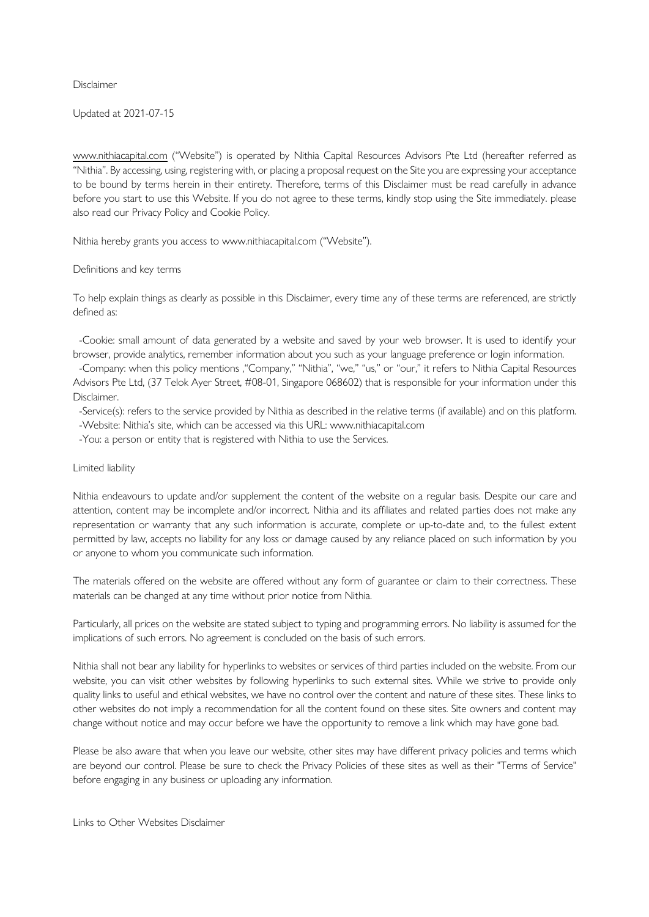Disclaimer

Updated at 2021-07-15

www.nithiacapital.com ("Website") is operated by Nithia Capital Resources Advisors Pte Ltd (hereafter referred as "Nithia". By accessing, using, registering with, or placing a proposal request on the Site you are expressing your acceptance to be bound by terms herein in their entirety. Therefore, terms of this Disclaimer must be read carefully in advance before you start to use this Website. If you do not agree to these terms, kindly stop using the Site immediately. please also read our Privacy Policy and Cookie Policy.

Nithia hereby grants you access to www.nithiacapital.com ("Website").

### Definitions and key terms

To help explain things as clearly as possible in this Disclaimer, every time any of these terms are referenced, are strictly defined as:

 -Cookie: small amount of data generated by a website and saved by your web browser. It is used to identify your browser, provide analytics, remember information about you such as your language preference or login information.

 -Company: when this policy mentions '"Company," "Nithia", "we," "us," or "our," it refers to Nithia Capital Resources Advisors Pte Ltd, (37 Telok Ayer Street, #08-01, Singapore 068602) that is responsible for your information under this Disclaimer.

-Service(s): refers to the service provided by Nithia as described in the relative terms (if available) and on this platform.

-Website: Nithia's site, which can be accessed via this URL: www.nithiacapital.com

-You: a person or entity that is registered with Nithia to use the Services.

#### Limited liability

Nithia endeavours to update and/or supplement the content of the website on a regular basis. Despite our care and attention, content may be incomplete and/or incorrect. Nithia and its affiliates and related parties does not make any representation or warranty that any such information is accurate, complete or up-to-date and, to the fullest extent permitted by law, accepts no liability for any loss or damage caused by any reliance placed on such information by you or anyone to whom you communicate such information.

The materials offered on the website are offered without any form of guarantee or claim to their correctness. These materials can be changed at any time without prior notice from Nithia.

Particularly, all prices on the website are stated subject to typing and programming errors. No liability is assumed for the implications of such errors. No agreement is concluded on the basis of such errors.

Nithia shall not bear any liability for hyperlinks to websites or services of third parties included on the website. From our website, you can visit other websites by following hyperlinks to such external sites. While we strive to provide only quality links to useful and ethical websites, we have no control over the content and nature of these sites. These links to other websites do not imply a recommendation for all the content found on these sites. Site owners and content may change without notice and may occur before we have the opportunity to remove a link which may have gone bad.

Please be also aware that when you leave our website, other sites may have different privacy policies and terms which are beyond our control. Please be sure to check the Privacy Policies of these sites as well as their "Terms of Service" before engaging in any business or uploading any information.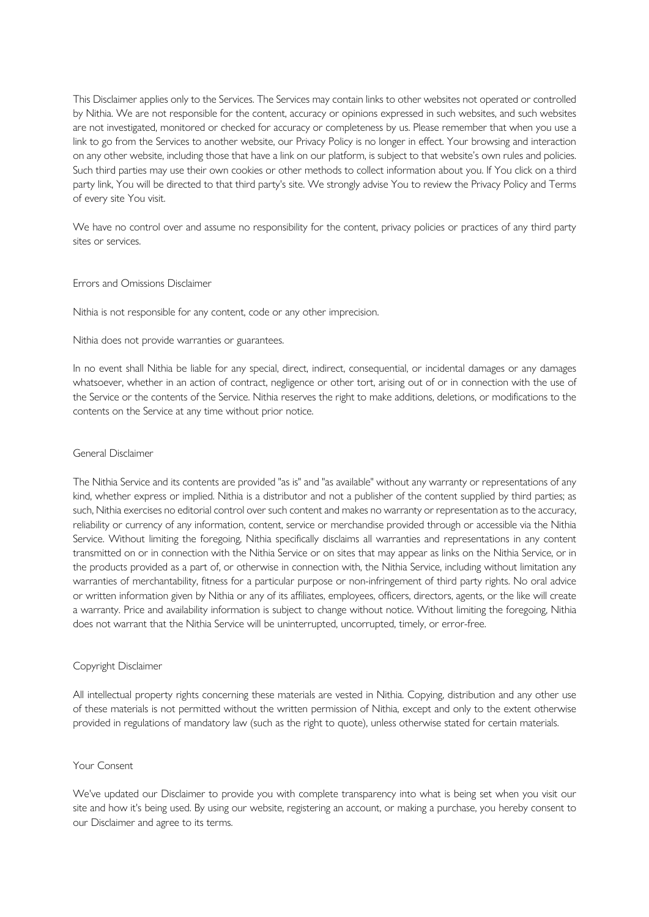This Disclaimer applies only to the Services. The Services may contain links to other websites not operated or controlled by Nithia. We are not responsible for the content, accuracy or opinions expressed in such websites, and such websites are not investigated, monitored or checked for accuracy or completeness by us. Please remember that when you use a link to go from the Services to another website, our Privacy Policy is no longer in effect. Your browsing and interaction on any other website, including those that have a link on our platform, is subject to that website's own rules and policies. Such third parties may use their own cookies or other methods to collect information about you. If You click on a third party link, You will be directed to that third party's site. We strongly advise You to review the Privacy Policy and Terms of every site You visit.

We have no control over and assume no responsibility for the content, privacy policies or practices of any third party sites or services.

### Errors and Omissions Disclaimer

Nithia is not responsible for any content, code or any other imprecision.

### Nithia does not provide warranties or guarantees.

In no event shall Nithia be liable for any special, direct, indirect, consequential, or incidental damages or any damages whatsoever, whether in an action of contract, negligence or other tort, arising out of or in connection with the use of the Service or the contents of the Service. Nithia reserves the right to make additions, deletions, or modifications to the contents on the Service at any time without prior notice.

#### General Disclaimer

The Nithia Service and its contents are provided "as is" and "as available" without any warranty or representations of any kind, whether express or implied. Nithia is a distributor and not a publisher of the content supplied by third parties; as such, Nithia exercises no editorial control over such content and makes no warranty or representation as to the accuracy, reliability or currency of any information, content, service or merchandise provided through or accessible via the Nithia Service. Without limiting the foregoing, Nithia specifically disclaims all warranties and representations in any content transmitted on or in connection with the Nithia Service or on sites that may appear as links on the Nithia Service, or in the products provided as a part of, or otherwise in connection with, the Nithia Service, including without limitation any warranties of merchantability, fitness for a particular purpose or non-infringement of third party rights. No oral advice or written information given by Nithia or any of its affiliates, employees, officers, directors, agents, or the like will create a warranty. Price and availability information is subject to change without notice. Without limiting the foregoing, Nithia does not warrant that the Nithia Service will be uninterrupted, uncorrupted, timely, or error-free.

### Copyright Disclaimer

All intellectual property rights concerning these materials are vested in Nithia. Copying, distribution and any other use of these materials is not permitted without the written permission of Nithia, except and only to the extent otherwise provided in regulations of mandatory law (such as the right to quote), unless otherwise stated for certain materials.

# Your Consent

We've updated our Disclaimer to provide you with complete transparency into what is being set when you visit our site and how it's being used. By using our website, registering an account, or making a purchase, you hereby consent to our Disclaimer and agree to its terms.